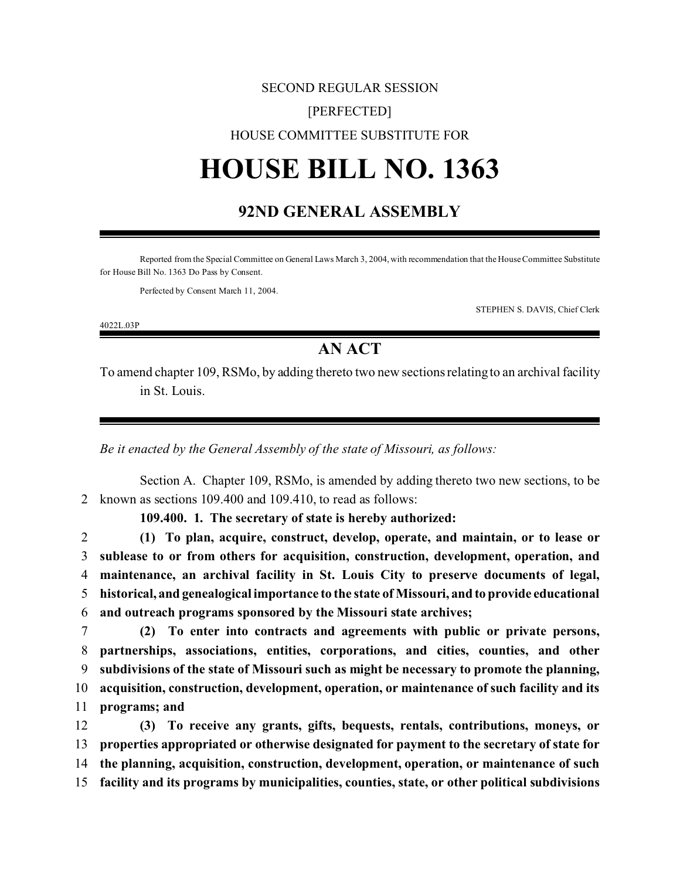## SECOND REGULAR SESSION [PERFECTED] HOUSE COMMITTEE SUBSTITUTE FOR

# **HOUSE BILL NO. 1363**

#### **92ND GENERAL ASSEMBLY**

Reported from the Special Committee on General Laws March 3, 2004, with recommendation that the House Committee Substitute for House Bill No. 1363 Do Pass by Consent.

Perfected by Consent March 11, 2004.

4022L.03P

STEPHEN S. DAVIS, Chief Clerk

### **AN ACT**

To amend chapter 109, RSMo, by adding thereto two new sections relating to an archival facility in St. Louis.

*Be it enacted by the General Assembly of the state of Missouri, as follows:*

Section A. Chapter 109, RSMo, is amended by adding thereto two new sections, to be 2 known as sections 109.400 and 109.410, to read as follows:

**109.400. 1. The secretary of state is hereby authorized:**

 **(1) To plan, acquire, construct, develop, operate, and maintain, or to lease or sublease to or from others for acquisition, construction, development, operation, and maintenance, an archival facility in St. Louis City to preserve documents of legal, historical, and genealogical importance to the state of Missouri, and to provide educational and outreach programs sponsored by the Missouri state archives;**

 **(2) To enter into contracts and agreements with public or private persons, partnerships, associations, entities, corporations, and cities, counties, and other subdivisions of the state of Missouri such as might be necessary to promote the planning, acquisition, construction, development, operation, or maintenance of such facility and its programs; and**

 **(3) To receive any grants, gifts, bequests, rentals, contributions, moneys, or properties appropriated or otherwise designated for payment to the secretary of state for the planning, acquisition, construction, development, operation, or maintenance of such facility and its programs by municipalities, counties, state, or other political subdivisions**